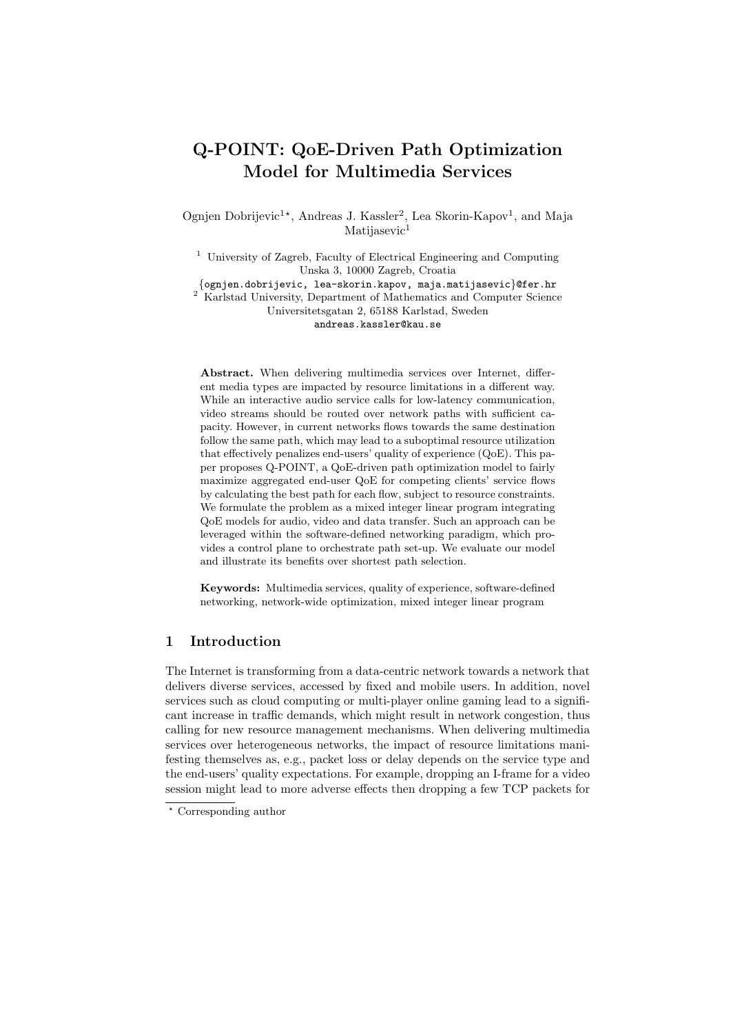# Q-POINT: QoE-Driven Path Optimization Model for Multimedia Services

Ognjen Dobrijevic<sup>1\*</sup>, Andreas J. Kassler<sup>2</sup>, Lea Skorin-Kapov<sup>1</sup>, and Maja Matijasevic<sup>1</sup>

 $^{\rm 1}$  University of Zagreb, Faculty of Electrical Engineering and Computing Unska 3, 10000 Zagreb, Croatia

{ognjen.dobrijevic, lea-skorin.kapov, maja.matijasevic}@fer.hr <sup>2</sup> Karlstad University, Department of Mathematics and Computer Science Universitetsgatan 2, 65188 Karlstad, Sweden andreas.kassler@kau.se

Abstract. When delivering multimedia services over Internet, different media types are impacted by resource limitations in a different way. While an interactive audio service calls for low-latency communication, video streams should be routed over network paths with sufficient capacity. However, in current networks flows towards the same destination follow the same path, which may lead to a suboptimal resource utilization that effectively penalizes end-users' quality of experience (QoE). This paper proposes Q-POINT, a QoE-driven path optimization model to fairly maximize aggregated end-user QoE for competing clients' service flows by calculating the best path for each flow, subject to resource constraints. We formulate the problem as a mixed integer linear program integrating QoE models for audio, video and data transfer. Such an approach can be leveraged within the software-defined networking paradigm, which provides a control plane to orchestrate path set-up. We evaluate our model and illustrate its benefits over shortest path selection.

Keywords: Multimedia services, quality of experience, software-defined networking, network-wide optimization, mixed integer linear program

### 1 Introduction

The Internet is transforming from a data-centric network towards a network that delivers diverse services, accessed by fixed and mobile users. In addition, novel services such as cloud computing or multi-player online gaming lead to a significant increase in traffic demands, which might result in network congestion, thus calling for new resource management mechanisms. When delivering multimedia services over heterogeneous networks, the impact of resource limitations manifesting themselves as, e.g., packet loss or delay depends on the service type and the end-users' quality expectations. For example, dropping an I-frame for a video session might lead to more adverse effects then dropping a few TCP packets for

<sup>?</sup> Corresponding author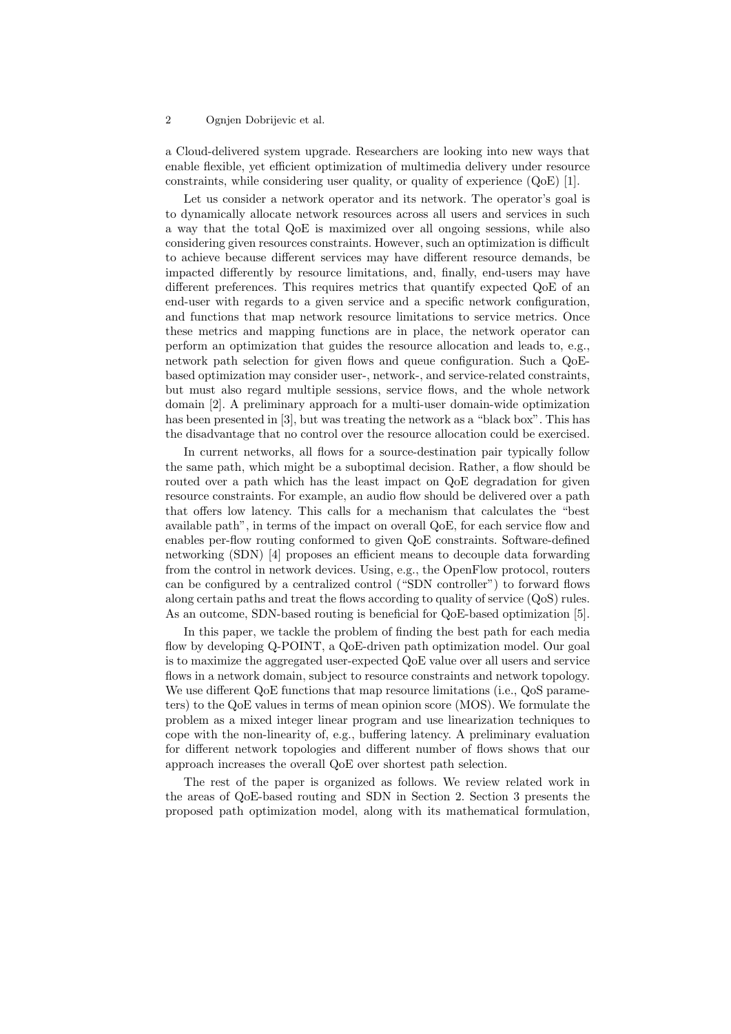a Cloud-delivered system upgrade. Researchers are looking into new ways that enable flexible, yet efficient optimization of multimedia delivery under resource constraints, while considering user quality, or quality of experience (QoE) [1].

Let us consider a network operator and its network. The operator's goal is to dynamically allocate network resources across all users and services in such a way that the total QoE is maximized over all ongoing sessions, while also considering given resources constraints. However, such an optimization is difficult to achieve because different services may have different resource demands, be impacted differently by resource limitations, and, finally, end-users may have different preferences. This requires metrics that quantify expected QoE of an end-user with regards to a given service and a specific network configuration, and functions that map network resource limitations to service metrics. Once these metrics and mapping functions are in place, the network operator can perform an optimization that guides the resource allocation and leads to, e.g., network path selection for given flows and queue configuration. Such a QoEbased optimization may consider user-, network-, and service-related constraints, but must also regard multiple sessions, service flows, and the whole network domain [2]. A preliminary approach for a multi-user domain-wide optimization has been presented in [3], but was treating the network as a "black box". This has the disadvantage that no control over the resource allocation could be exercised.

In current networks, all flows for a source-destination pair typically follow the same path, which might be a suboptimal decision. Rather, a flow should be routed over a path which has the least impact on QoE degradation for given resource constraints. For example, an audio flow should be delivered over a path that offers low latency. This calls for a mechanism that calculates the "best available path", in terms of the impact on overall QoE, for each service flow and enables per-flow routing conformed to given QoE constraints. Software-defined networking (SDN) [4] proposes an efficient means to decouple data forwarding from the control in network devices. Using, e.g., the OpenFlow protocol, routers can be configured by a centralized control ("SDN controller") to forward flows along certain paths and treat the flows according to quality of service (QoS) rules. As an outcome, SDN-based routing is beneficial for QoE-based optimization [5].

In this paper, we tackle the problem of finding the best path for each media flow by developing Q-POINT, a QoE-driven path optimization model. Our goal is to maximize the aggregated user-expected QoE value over all users and service flows in a network domain, subject to resource constraints and network topology. We use different QoE functions that map resource limitations (i.e., QoS parameters) to the QoE values in terms of mean opinion score (MOS). We formulate the problem as a mixed integer linear program and use linearization techniques to cope with the non-linearity of, e.g., buffering latency. A preliminary evaluation for different network topologies and different number of flows shows that our approach increases the overall QoE over shortest path selection.

The rest of the paper is organized as follows. We review related work in the areas of QoE-based routing and SDN in Section 2. Section 3 presents the proposed path optimization model, along with its mathematical formulation,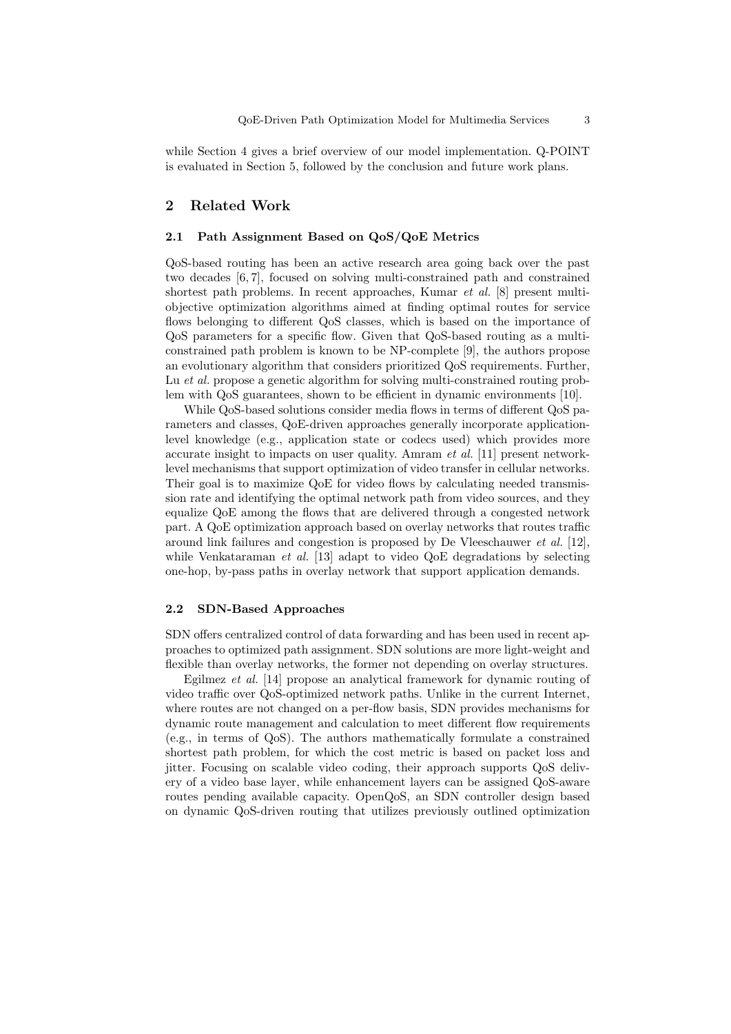while Section 4 gives a brief overview of our model implementation. Q-POINT is evaluated in Section 5, followed by the conclusion and future work plans.

### 2 Related Work

#### 2.1 Path Assignment Based on QoS/QoE Metrics

QoS-based routing has been an active research area going back over the past two decades [6, 7], focused on solving multi-constrained path and constrained shortest path problems. In recent approaches, Kumar et al. [8] present multiobjective optimization algorithms aimed at finding optimal routes for service flows belonging to different QoS classes, which is based on the importance of QoS parameters for a specific flow. Given that QoS-based routing as a multiconstrained path problem is known to be NP-complete [9], the authors propose an evolutionary algorithm that considers prioritized QoS requirements. Further, Lu et al. propose a genetic algorithm for solving multi-constrained routing problem with QoS guarantees, shown to be efficient in dynamic environments [10].

While QoS-based solutions consider media flows in terms of different QoS parameters and classes, QoE-driven approaches generally incorporate applicationlevel knowledge (e.g., application state or codecs used) which provides more accurate insight to impacts on user quality. Amram et al. [11] present networklevel mechanisms that support optimization of video transfer in cellular networks. Their goal is to maximize QoE for video flows by calculating needed transmission rate and identifying the optimal network path from video sources, and they equalize QoE among the flows that are delivered through a congested network part. A QoE optimization approach based on overlay networks that routes traffic around link failures and congestion is proposed by De Vleeschauwer et al. [12], while Venkataraman *et al.* [13] adapt to video QoE degradations by selecting one-hop, by-pass paths in overlay network that support application demands.

#### 2.2 SDN-Based Approaches

SDN offers centralized control of data forwarding and has been used in recent approaches to optimized path assignment. SDN solutions are more light-weight and flexible than overlay networks, the former not depending on overlay structures.

Egilmez et al. [14] propose an analytical framework for dynamic routing of video traffic over QoS-optimized network paths. Unlike in the current Internet, where routes are not changed on a per-flow basis, SDN provides mechanisms for dynamic route management and calculation to meet different flow requirements (e.g., in terms of QoS). The authors mathematically formulate a constrained shortest path problem, for which the cost metric is based on packet loss and jitter. Focusing on scalable video coding, their approach supports QoS delivery of a video base layer, while enhancement layers can be assigned QoS-aware routes pending available capacity. OpenQoS, an SDN controller design based on dynamic QoS-driven routing that utilizes previously outlined optimization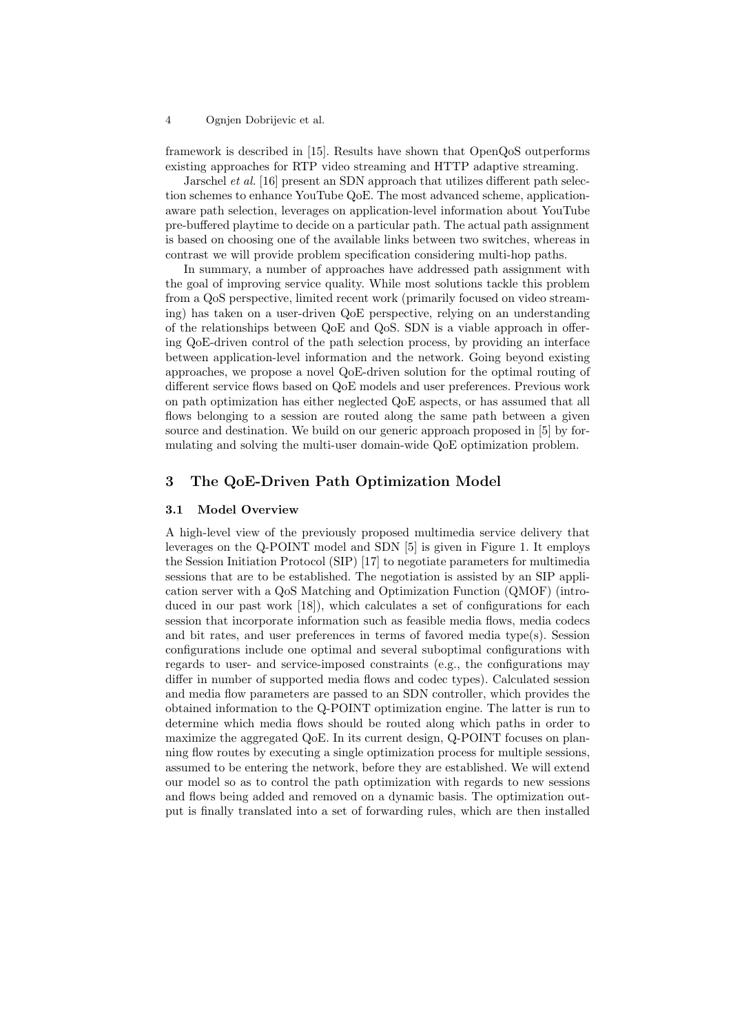framework is described in [15]. Results have shown that OpenQoS outperforms existing approaches for RTP video streaming and HTTP adaptive streaming.

Jarschel et al. [16] present an SDN approach that utilizes different path selection schemes to enhance YouTube QoE. The most advanced scheme, applicationaware path selection, leverages on application-level information about YouTube pre-buffered playtime to decide on a particular path. The actual path assignment is based on choosing one of the available links between two switches, whereas in contrast we will provide problem specification considering multi-hop paths.

In summary, a number of approaches have addressed path assignment with the goal of improving service quality. While most solutions tackle this problem from a QoS perspective, limited recent work (primarily focused on video streaming) has taken on a user-driven QoE perspective, relying on an understanding of the relationships between QoE and QoS. SDN is a viable approach in offering QoE-driven control of the path selection process, by providing an interface between application-level information and the network. Going beyond existing approaches, we propose a novel QoE-driven solution for the optimal routing of different service flows based on QoE models and user preferences. Previous work on path optimization has either neglected QoE aspects, or has assumed that all flows belonging to a session are routed along the same path between a given source and destination. We build on our generic approach proposed in [5] by formulating and solving the multi-user domain-wide QoE optimization problem.

### 3 The QoE-Driven Path Optimization Model

#### 3.1 Model Overview

A high-level view of the previously proposed multimedia service delivery that leverages on the Q-POINT model and SDN [5] is given in Figure 1. It employs the Session Initiation Protocol (SIP) [17] to negotiate parameters for multimedia sessions that are to be established. The negotiation is assisted by an SIP application server with a QoS Matching and Optimization Function (QMOF) (introduced in our past work [18]), which calculates a set of configurations for each session that incorporate information such as feasible media flows, media codecs and bit rates, and user preferences in terms of favored media type(s). Session configurations include one optimal and several suboptimal configurations with regards to user- and service-imposed constraints (e.g., the configurations may differ in number of supported media flows and codec types). Calculated session and media flow parameters are passed to an SDN controller, which provides the obtained information to the Q-POINT optimization engine. The latter is run to determine which media flows should be routed along which paths in order to maximize the aggregated QoE. In its current design, Q-POINT focuses on planning flow routes by executing a single optimization process for multiple sessions, assumed to be entering the network, before they are established. We will extend our model so as to control the path optimization with regards to new sessions and flows being added and removed on a dynamic basis. The optimization output is finally translated into a set of forwarding rules, which are then installed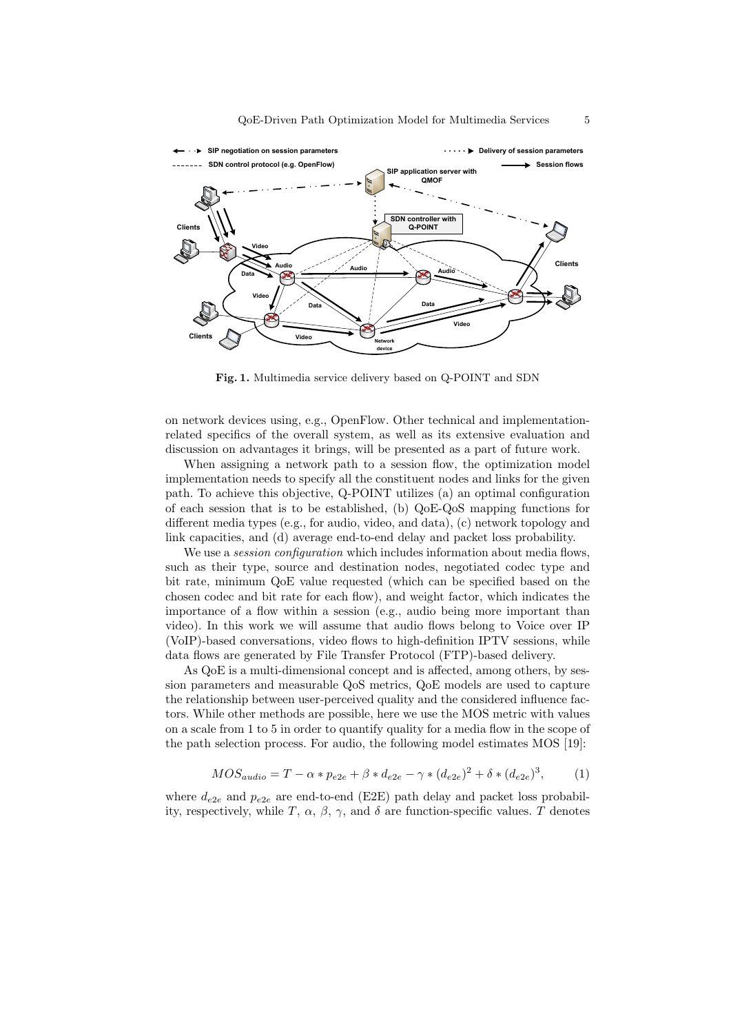

Fig. 1. Multimedia service delivery based on Q-POINT and SDN

on network devices using, e.g., OpenFlow. Other technical and implementationrelated specifics of the overall system, as well as its extensive evaluation and discussion on advantages it brings, will be presented as a part of future work.

When assigning a network path to a session flow, the optimization model implementation needs to specify all the constituent nodes and links for the given path. To achieve this objective, Q-POINT utilizes (a) an optimal configuration of each session that is to be established, (b) QoE-QoS mapping functions for different media types (e.g., for audio, video, and data), (c) network topology and link capacities, and (d) average end-to-end delay and packet loss probability.

We use a *session configuration* which includes information about media flows, such as their type, source and destination nodes, negotiated codec type and bit rate, minimum QoE value requested (which can be specified based on the chosen codec and bit rate for each flow), and weight factor, which indicates the importance of a flow within a session (e.g., audio being more important than video). In this work we will assume that audio flows belong to Voice over IP (VoIP)-based conversations, video flows to high-definition IPTV sessions, while data flows are generated by File Transfer Protocol (FTP)-based delivery.

As QoE is a multi-dimensional concept and is affected, among others, by session parameters and measurable QoS metrics, QoE models are used to capture the relationship between user-perceived quality and the considered influence factors. While other methods are possible, here we use the MOS metric with values on a scale from 1 to 5 in order to quantify quality for a media flow in the scope of the path selection process. For audio, the following model estimates MOS [19]:

$$
MOS_{audio} = T - \alpha * p_{e2e} + \beta * d_{e2e} - \gamma * (d_{e2e})^2 + \delta * (d_{e2e})^3, \qquad (1)
$$

where  $d_{e2e}$  and  $p_{e2e}$  are end-to-end (E2E) path delay and packet loss probability, respectively, while T,  $\alpha$ ,  $\beta$ ,  $\gamma$ , and  $\delta$  are function-specific values. T denotes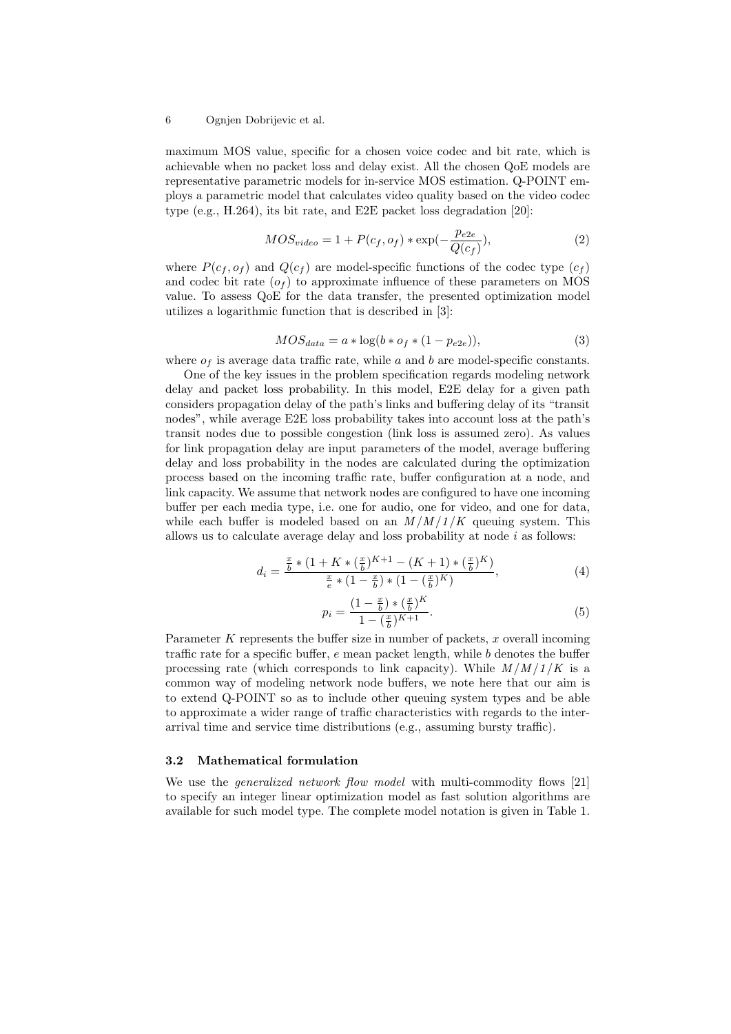maximum MOS value, specific for a chosen voice codec and bit rate, which is achievable when no packet loss and delay exist. All the chosen QoE models are representative parametric models for in-service MOS estimation. Q-POINT employs a parametric model that calculates video quality based on the video codec type (e.g., H.264), its bit rate, and E2E packet loss degradation [20]:

$$
MOS_{video} = 1 + P(c_f, o_f) * \exp(-\frac{p_{e2e}}{Q(c_f)}),
$$
\n(2)

where  $P(c_f, o_f)$  and  $Q(c_f)$  are model-specific functions of the codec type  $(c_f)$ and codec bit rate  $(o_f)$  to approximate influence of these parameters on MOS value. To assess QoE for the data transfer, the presented optimization model utilizes a logarithmic function that is described in [3]:

$$
MOS_{data} = a * \log(b * o_f * (1 - p_{e2e})),
$$
\n(3)

where  $o<sub>f</sub>$  is average data traffic rate, while a and b are model-specific constants.

One of the key issues in the problem specification regards modeling network delay and packet loss probability. In this model, E2E delay for a given path considers propagation delay of the path's links and buffering delay of its "transit nodes", while average E2E loss probability takes into account loss at the path's transit nodes due to possible congestion (link loss is assumed zero). As values for link propagation delay are input parameters of the model, average buffering delay and loss probability in the nodes are calculated during the optimization process based on the incoming traffic rate, buffer configuration at a node, and link capacity. We assume that network nodes are configured to have one incoming buffer per each media type, i.e. one for audio, one for video, and one for data, while each buffer is modeled based on an  $M/M/1/K$  queuing system. This allows us to calculate average delay and loss probability at node  $i$  as follows:

$$
d_i = \frac{\frac{x}{b} * (1 + K * (\frac{x}{b})^{K+1} - (K+1) * (\frac{x}{b})^K)}{\frac{x}{e} * (1 - \frac{x}{b}) * (1 - (\frac{x}{b})^K)},
$$
\n(4)

$$
p_i = \frac{\left(1 - \frac{x}{b}\right) * \left(\frac{x}{b}\right)^K}{1 - \left(\frac{x}{b}\right)^{K+1}}.\tag{5}
$$

Parameter  $K$  represents the buffer size in number of packets,  $x$  overall incoming traffic rate for a specific buffer,  $e$  mean packet length, while  $b$  denotes the buffer processing rate (which corresponds to link capacity). While  $M/M/1/K$  is a common way of modeling network node buffers, we note here that our aim is to extend Q-POINT so as to include other queuing system types and be able to approximate a wider range of traffic characteristics with regards to the interarrival time and service time distributions (e.g., assuming bursty traffic).

#### 3.2 Mathematical formulation

We use the *generalized network flow model* with multi-commodity flows [21] to specify an integer linear optimization model as fast solution algorithms are available for such model type. The complete model notation is given in Table 1.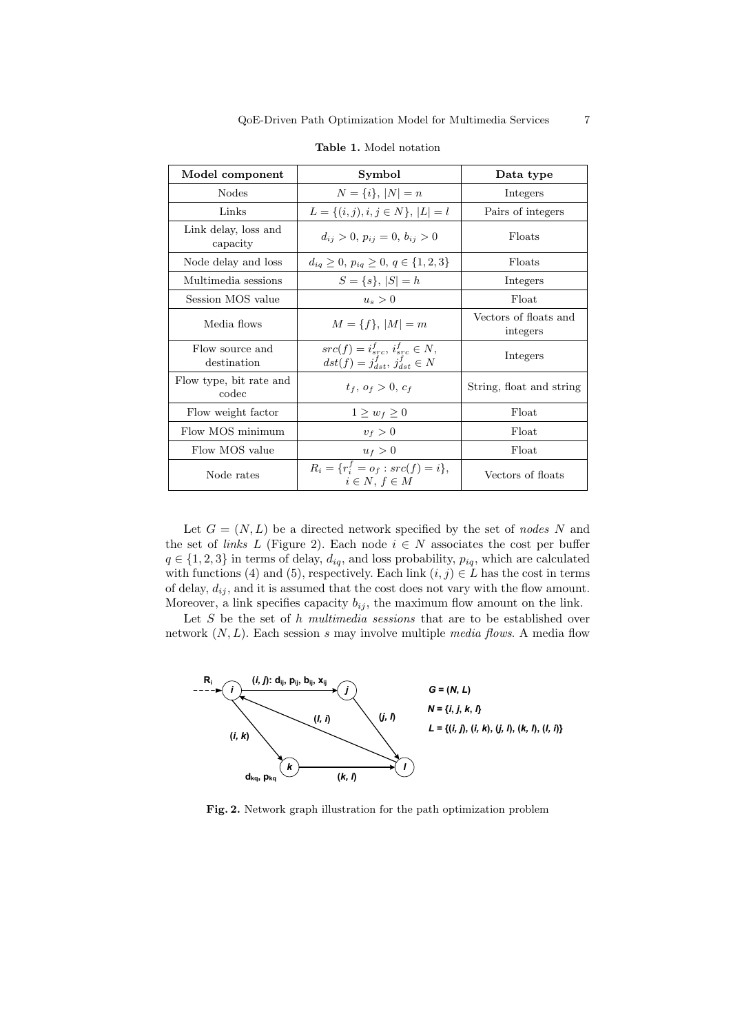| Model component                  | Symbol                                                                           | Data type                         |  |
|----------------------------------|----------------------------------------------------------------------------------|-----------------------------------|--|
| <b>Nodes</b>                     | $N = \{i\},  N  = n$                                                             | Integers                          |  |
| Links                            | $L = \{(i, j), i, j \in N\},  L  = l$                                            | Pairs of integers                 |  |
| Link delay, loss and<br>capacity | $d_{ij} > 0, p_{ij} = 0, b_{ij} > 0$                                             | Floats                            |  |
| Node delay and loss              | $d_{iq} \geq 0, p_{iq} \geq 0, q \in \{1, 2, 3\}$                                | Floats                            |  |
| Multimedia sessions              | $S = \{s\},  S  = h$                                                             | Integers                          |  |
| Session MOS value                | $u_s>0$                                                                          | Float                             |  |
| Media flows                      | $M = \{f\},  M  = m$                                                             | Vectors of floats and<br>integers |  |
| Flow source and<br>destination   | $src(f) = i_{src}^f, i_{src}^f \in N$ ,<br>$dst(f) = j_{dst}^f, j_{dst}^f \in N$ | Integers                          |  |
| Flow type, bit rate and<br>codec | $t_f, o_f > 0, c_f$                                                              | String, float and string          |  |
| Flow weight factor               | $1 \geq w_f \geq 0$                                                              | Float                             |  |
| Flow MOS minimum                 | $v_f > 0$                                                                        | Float                             |  |
| Flow MOS value                   | $u_f>0$                                                                          | Float                             |  |
| Node rates                       | $R_i = \{r_i^f = o_f : src(f) = i\},\$<br>$i \in N, f \in M$                     | Vectors of floats                 |  |

Table 1. Model notation

Let  $G = (N, L)$  be a directed network specified by the set of nodes N and the set of links L (Figure 2). Each node  $i \in N$  associates the cost per buffer  $q \in \{1, 2, 3\}$  in terms of delay,  $d_{iq}$ , and loss probability,  $p_{iq}$ , which are calculated with functions (4) and (5), respectively. Each link  $(i, j) \in L$  has the cost in terms of delay,  $d_{ij}$ , and it is assumed that the cost does not vary with the flow amount. Moreover, a link specifies capacity  $b_{ij}$ , the maximum flow amount on the link.

Let  $S$  be the set of  $h$  multimedia sessions that are to be established over network  $(N, L)$ . Each session s may involve multiple media flows. A media flow



Fig. 2. Network graph illustration for the path optimization problem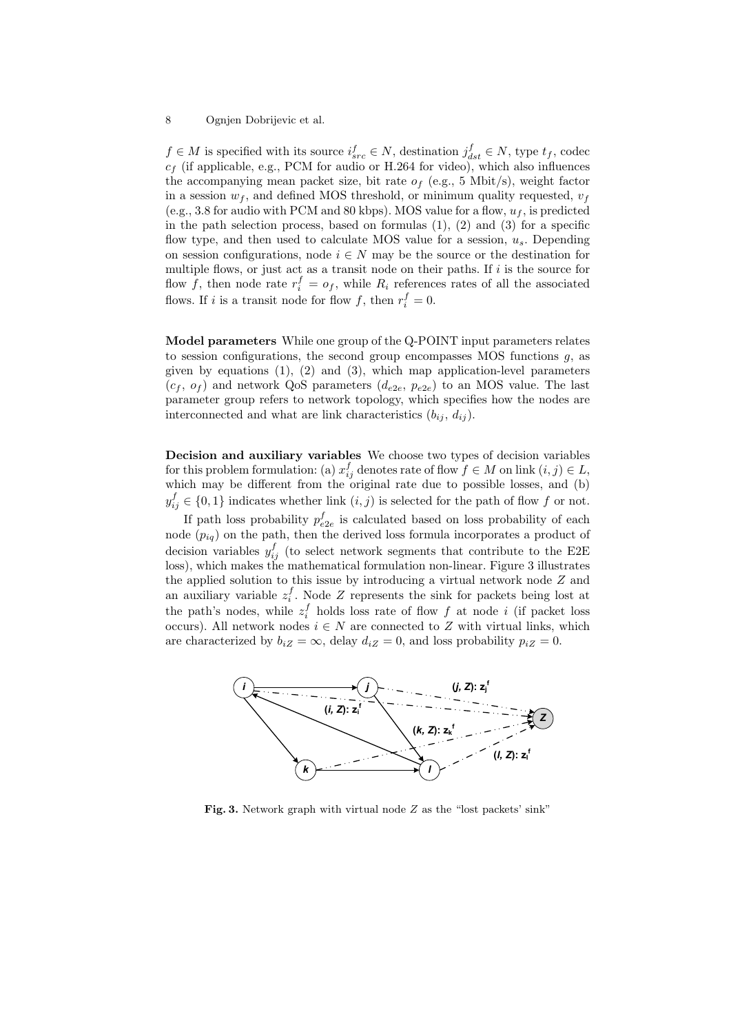$f \in M$  is specified with its source  $i_{src}^f \in N$ , destination  $j_{dst}^f \in N$ , type  $t_f$ , codec  $c_f$  (if applicable, e.g., PCM for audio or H.264 for video), which also influences the accompanying mean packet size, bit rate  $o<sub>f</sub>$  (e.g., 5 Mbit/s), weight factor in a session  $w_f$ , and defined MOS threshold, or minimum quality requested,  $v_f$ (e.g., 3.8 for audio with PCM and 80 kbps). MOS value for a flow,  $u_f$ , is predicted in the path selection process, based on formulas  $(1)$ ,  $(2)$  and  $(3)$  for a specific flow type, and then used to calculate MOS value for a session,  $u_s$ . Depending on session configurations, node  $i \in N$  may be the source or the destination for multiple flows, or just act as a transit node on their paths. If  $i$  is the source for flow f, then node rate  $r_i^f = o_f$ , while  $R_i$  references rates of all the associated flows. If *i* is a transit node for flow f, then  $r_i^f = 0$ .

Model parameters While one group of the Q-POINT input parameters relates to session configurations, the second group encompasses MOS functions  $g$ , as given by equations  $(1)$ ,  $(2)$  and  $(3)$ , which map application-level parameters  $(c_f, o_f)$  and network QoS parameters  $(d_{e2e}, p_{e2e})$  to an MOS value. The last parameter group refers to network topology, which specifies how the nodes are interconnected and what are link characteristics  $(b_{ij}, d_{ij})$ .

Decision and auxiliary variables We choose two types of decision variables for this problem formulation: (a)  $x_{ij}^f$  denotes rate of flow  $f \in M$  on link  $(i, j) \in L$ , which may be different from the original rate due to possible losses, and (b)  $y_{ij}^f \in \{0, 1\}$  indicates whether link  $(i, j)$  is selected for the path of flow f or not.

If path loss probability  $p_{e2e}^f$  is calculated based on loss probability of each node  $(p_{iq})$  on the path, then the derived loss formula incorporates a product of decision variables  $y_{ij}^f$  (to select network segments that contribute to the E2E loss), which makes the mathematical formulation non-linear. Figure 3 illustrates the applied solution to this issue by introducing a virtual network node Z and an auxiliary variable  $z_i^f$ . Node Z represents the sink for packets being lost at the path's nodes, while  $z_i^f$  holds loss rate of flow f at node i (if packet loss occurs). All network nodes  $i \in N$  are connected to Z with virtual links, which are characterized by  $b_{iZ} = \infty$ , delay  $d_{iZ} = 0$ , and loss probability  $p_{iZ} = 0$ .



Fig. 3. Network graph with virtual node  $Z$  as the "lost packets' sink"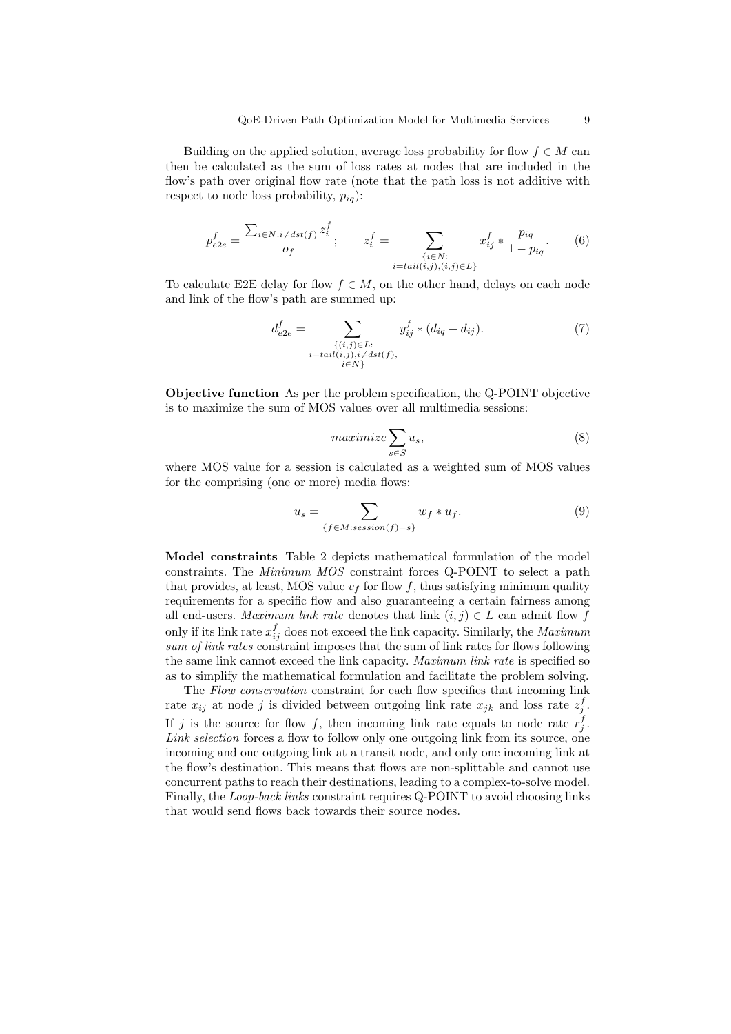Building on the applied solution, average loss probability for flow  $f \in M$  can then be calculated as the sum of loss rates at nodes that are included in the flow's path over original flow rate (note that the path loss is not additive with respect to node loss probability,  $p_{iq}$ ):

$$
p_{e2e}^f = \frac{\sum_{i \in N : i \neq \text{dst}(f)} z_i^f}{o_f}; \qquad z_i^f = \sum_{\substack{\{i \in N : \ i = \text{tail}(i,j), (i,j) \in L\} \\ i = \text{tail}(i,j), (i,j) \in L\}} x_{ij}^f * \frac{p_{iq}}{1 - p_{iq}}.
$$
 (6)

To calculate E2E delay for flow  $f \in M$ , on the other hand, delays on each node and link of the flow's path are summed up:

$$
d_{e2e}^{f} = \sum_{\substack{\{(i,j)\in L:\\i=tail(i,j),i\neq dist(f),\\i\in N\}}} y_{ij}^{f} * (d_{iq} + d_{ij}).
$$
\n(7)

Objective function As per the problem specification, the Q-POINT objective is to maximize the sum of MOS values over all multimedia sessions:

$$
maximize \sum_{s \in S} u_s,
$$
\n(8)

where MOS value for a session is calculated as a weighted sum of MOS values for the comprising (one or more) media flows:

$$
u_s = \sum_{\{f \in M: session(f) = s\}} w_f * u_f.
$$
 (9)

Model constraints Table 2 depicts mathematical formulation of the model constraints. The Minimum MOS constraint forces Q-POINT to select a path that provides, at least, MOS value  $v_f$  for flow f, thus satisfying minimum quality requirements for a specific flow and also guaranteeing a certain fairness among all end-users. Maximum link rate denotes that link  $(i, j) \in L$  can admit flow f only if its link rate  $x_{ij}^f$  does not exceed the link capacity. Similarly, the *Maximum* sum of link rates constraint imposes that the sum of link rates for flows following the same link cannot exceed the link capacity. Maximum link rate is specified so as to simplify the mathematical formulation and facilitate the problem solving.

The Flow conservation constraint for each flow specifies that incoming link rate  $x_{ij}$  at node j is divided between outgoing link rate  $x_{jk}$  and loss rate  $z_j^f$ . If j is the source for flow f, then incoming link rate equals to node rate  $r_j^f$ . Link selection forces a flow to follow only one outgoing link from its source, one incoming and one outgoing link at a transit node, and only one incoming link at the flow's destination. This means that flows are non-splittable and cannot use concurrent paths to reach their destinations, leading to a complex-to-solve model. Finally, the Loop-back links constraint requires Q-POINT to avoid choosing links that would send flows back towards their source nodes.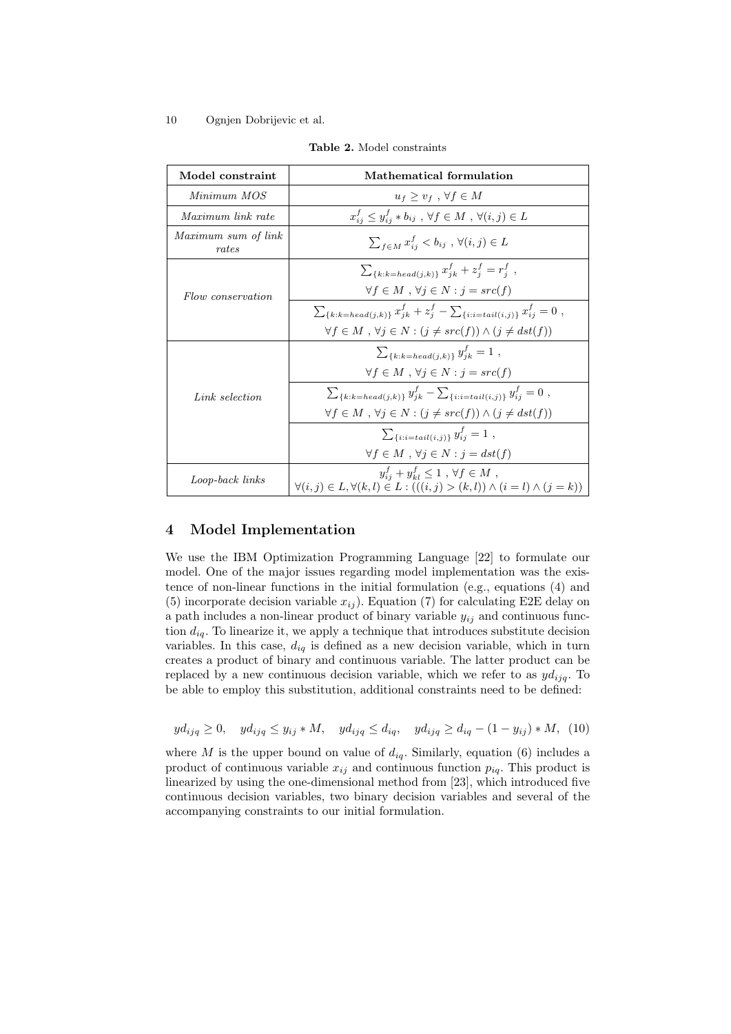| Model constraint             | Mathematical formulation                                                                         |  |  |  |
|------------------------------|--------------------------------------------------------------------------------------------------|--|--|--|
|                              |                                                                                                  |  |  |  |
| Minimum MOS                  | $u_f \geq v_f$ , $\forall f \in M$                                                               |  |  |  |
| <i>Maximum link rate</i>     | $x_{ij}^f \leq y_{ij}^f * b_{ij}$ , $\forall f \in M$ , $\forall (i, j) \in L$                   |  |  |  |
| Maximum sum of link<br>rates | $\sum_{f \in M} x_{ij}^f < b_{ij}$ , $\forall (i, j) \in L$                                      |  |  |  |
| Flow conservation            | $\sum_{\{k: k = head(i,k)\}} x_{ik}^f + z_i^f = r_i^f,$                                          |  |  |  |
|                              | $\forall f \in M$ , $\forall i \in N : j = src(f)$                                               |  |  |  |
|                              | $\sum_{\{k: k = head(i,k)\}} x_{ik}^f + z_i^f - \sum_{\{i: i = tail(i,j)\}} x_{ij}^f = 0$ ,      |  |  |  |
|                              | $\forall f \in M$ , $\forall j \in N : (j \neq src(f)) \wedge (j \neq dst(f))$                   |  |  |  |
| Link selection               | $\sum_{\{k: k = head(j,k)\}} y_{jk}^f = 1$ ,                                                     |  |  |  |
|                              | $\forall f \in M$ , $\forall i \in N : j = src(f)$                                               |  |  |  |
|                              | $\sum_{\{k: k = head(i,k)\}} y_{ik}^f - \sum_{\{i: i = tail(i,j)\}} y_{ij}^f = 0$ ,              |  |  |  |
|                              | $\forall f \in M$ , $\forall i \in N$ : $(i \neq src(f)) \wedge (i \neq dst(f))$                 |  |  |  |
|                              | $\sum_{\{i:i=tail(i,j)\}} y_{ij}^f = 1$ ,                                                        |  |  |  |
|                              | $\forall f \in M$ , $\forall i \in N : j = \text{dst}(f)$                                        |  |  |  |
| Loop-back links              | $y_{ii}^f + y_{kl}^f \le 1$ , $\forall f \in M$ ,                                                |  |  |  |
|                              | $\forall (i, j) \in L, \forall (k, l) \in L : (((i, j) > (k, l)) \wedge (i = l) \wedge (j = k))$ |  |  |  |

#### Table 2. Model constraints

### 4 Model Implementation

We use the IBM Optimization Programming Language [22] to formulate our model. One of the major issues regarding model implementation was the existence of non-linear functions in the initial formulation (e.g., equations (4) and (5) incorporate decision variable  $x_{ij}$ ). Equation (7) for calculating E2E delay on a path includes a non-linear product of binary variable  $y_{ij}$  and continuous function  $d_{iq}$ . To linearize it, we apply a technique that introduces substitute decision variables. In this case,  $d_{iq}$  is defined as a new decision variable, which in turn creates a product of binary and continuous variable. The latter product can be replaced by a new continuous decision variable, which we refer to as  $y_{dijq}$ . To be able to employ this substitution, additional constraints need to be defined:

$$
y d_{ijq} \ge 0, \quad y d_{ijq} \le y_{ij} * M, \quad y d_{ijq} \le d_{iq}, \quad y d_{ijq} \ge d_{iq} - (1 - y_{ij}) * M, \tag{10}
$$

where M is the upper bound on value of  $d_{iq}$ . Similarly, equation (6) includes a product of continuous variable  $x_{ij}$  and continuous function  $p_{iq}$ . This product is linearized by using the one-dimensional method from [23], which introduced five continuous decision variables, two binary decision variables and several of the accompanying constraints to our initial formulation.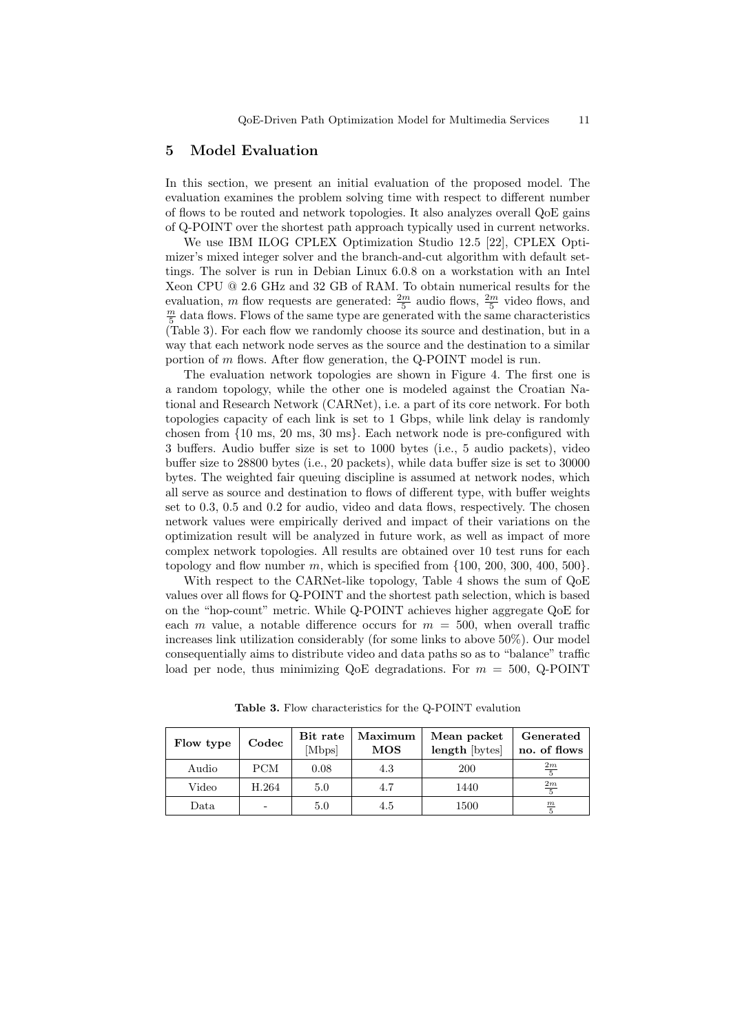#### 5 Model Evaluation

In this section, we present an initial evaluation of the proposed model. The evaluation examines the problem solving time with respect to different number of flows to be routed and network topologies. It also analyzes overall QoE gains of Q-POINT over the shortest path approach typically used in current networks.

We use IBM ILOG CPLEX Optimization Studio 12.5 [22], CPLEX Optimizer's mixed integer solver and the branch-and-cut algorithm with default settings. The solver is run in Debian Linux 6.0.8 on a workstation with an Intel Xeon CPU @ 2.6 GHz and 32 GB of RAM. To obtain numerical results for the evaluation, m flow requests are generated:  $\frac{2m}{5}$  audio flows,  $\frac{2m}{5}$  video flows, and  $\frac{m}{5}$  data flows. Flows of the same type are generated with the same characteristics (Table 3). For each flow we randomly choose its source and destination, but in a way that each network node serves as the source and the destination to a similar portion of m flows. After flow generation, the Q-POINT model is run.

The evaluation network topologies are shown in Figure 4. The first one is a random topology, while the other one is modeled against the Croatian National and Research Network (CARNet), i.e. a part of its core network. For both topologies capacity of each link is set to 1 Gbps, while link delay is randomly chosen from {10 ms, 20 ms, 30 ms}. Each network node is pre-configured with 3 buffers. Audio buffer size is set to 1000 bytes (i.e., 5 audio packets), video buffer size to 28800 bytes (i.e., 20 packets), while data buffer size is set to 30000 bytes. The weighted fair queuing discipline is assumed at network nodes, which all serve as source and destination to flows of different type, with buffer weights set to 0.3, 0.5 and 0.2 for audio, video and data flows, respectively. The chosen network values were empirically derived and impact of their variations on the optimization result will be analyzed in future work, as well as impact of more complex network topologies. All results are obtained over 10 test runs for each topology and flow number m, which is specified from  $\{100, 200, 300, 400, 500\}$ .

With respect to the CARNet-like topology, Table 4 shows the sum of QoE values over all flows for Q-POINT and the shortest path selection, which is based on the "hop-count" metric. While Q-POINT achieves higher aggregate QoE for each m value, a notable difference occurs for  $m = 500$ , when overall traffic increases link utilization considerably (for some links to above 50%). Our model consequentially aims to distribute video and data paths so as to "balance" traffic load per node, thus minimizing QoE degradations. For  $m = 500$ , Q-POINT

| Flow type | Codec      | Bit rate<br>[Mbps] | Maximum<br><b>MOS</b> | Mean packet<br>length [bytes] | Generated<br>no. of flows |
|-----------|------------|--------------------|-----------------------|-------------------------------|---------------------------|
| Audio     | <b>PCM</b> | 0.08               | 4.3                   | <b>200</b>                    | $\frac{2m}{5}$            |
| Video     | H.264      | 5.0                | 4.7                   | 1440                          | $\frac{2m}{5}$            |
| Data      | -          | 5.0                | 4.5                   | 1500                          | $\frac{m}{5}$             |

Table 3. Flow characteristics for the Q-POINT evalution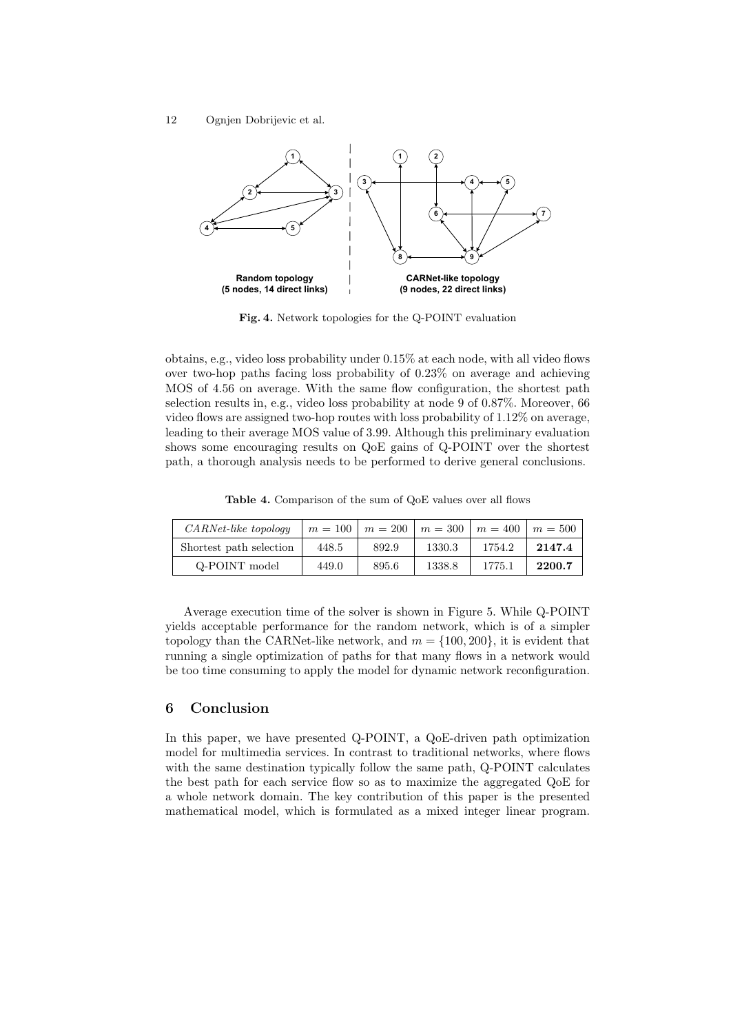

Fig. 4. Network topologies for the Q-POINT evaluation

obtains, e.g., video loss probability under 0.15% at each node, with all video flows over two-hop paths facing loss probability of 0.23% on average and achieving MOS of 4.56 on average. With the same flow configuration, the shortest path selection results in, e.g., video loss probability at node 9 of 0.87%. Moreover, 66 video flows are assigned two-hop routes with loss probability of 1.12% on average, leading to their average MOS value of 3.99. Although this preliminary evaluation shows some encouraging results on QoE gains of Q-POINT over the shortest path, a thorough analysis needs to be performed to derive general conclusions.

| $CARNet-like$ topology  | $m = 100$ |       | $m = 200$   $m = 300$   $m = 400$   $m = 500$ |        |        |
|-------------------------|-----------|-------|-----------------------------------------------|--------|--------|
| Shortest path selection | 448.5     | 892.9 | 1330.3                                        | 1754.2 | 2147.4 |
| Q-POINT model           | 449.0     | 895.6 | 1338.8                                        | 1775.1 | 2200.7 |

Table 4. Comparison of the sum of QoE values over all flows

Average execution time of the solver is shown in Figure 5. While Q-POINT yields acceptable performance for the random network, which is of a simpler topology than the CARNet-like network, and  $m = \{100, 200\}$ , it is evident that running a single optimization of paths for that many flows in a network would be too time consuming to apply the model for dynamic network reconfiguration.

## 6 Conclusion

In this paper, we have presented Q-POINT, a QoE-driven path optimization model for multimedia services. In contrast to traditional networks, where flows with the same destination typically follow the same path, Q-POINT calculates the best path for each service flow so as to maximize the aggregated QoE for a whole network domain. The key contribution of this paper is the presented mathematical model, which is formulated as a mixed integer linear program.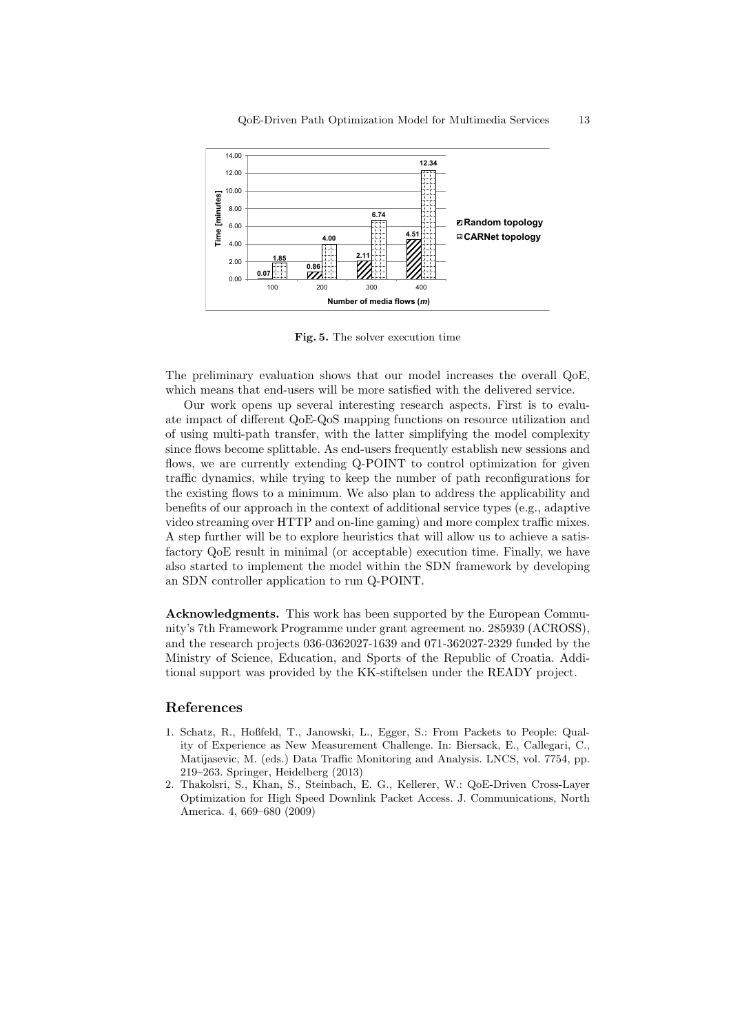

Fig. 5. The solver execution time

The preliminary evaluation shows that our model increases the overall QoE, which means that end-users will be more satisfied with the delivered service.

Our work opens up several interesting research aspects. First is to evaluate impact of different QoE-QoS mapping functions on resource utilization and of using multi-path transfer, with the latter simplifying the model complexity since flows become splittable. As end-users frequently establish new sessions and flows, we are currently extending Q-POINT to control optimization for given traffic dynamics, while trying to keep the number of path reconfigurations for the existing flows to a minimum. We also plan to address the applicability and benefits of our approach in the context of additional service types (e.g., adaptive video streaming over HTTP and on-line gaming) and more complex traffic mixes. A step further will be to explore heuristics that will allow us to achieve a satisfactory QoE result in minimal (or acceptable) execution time. Finally, we have also started to implement the model within the SDN framework by developing an SDN controller application to run Q-POINT.

Acknowledgments. This work has been supported by the European Community's 7th Framework Programme under grant agreement no. 285939 (ACROSS), and the research projects 036-0362027-1639 and 071-362027-2329 funded by the Ministry of Science, Education, and Sports of the Republic of Croatia. Additional support was provided by the KK-stiftelsen under the READY project.

### References

- 1. Schatz, R., Hoßfeld, T., Janowski, L., Egger, S.: From Packets to People: Quality of Experience as New Measurement Challenge. In: Biersack, E., Callegari, C., Matijasevic, M. (eds.) Data Traffic Monitoring and Analysis. LNCS, vol. 7754, pp. 219–263. Springer, Heidelberg (2013)
- 2. Thakolsri, S., Khan, S., Steinbach, E. G., Kellerer, W.: QoE-Driven Cross-Layer Optimization for High Speed Downlink Packet Access. J. Communications, North America. 4, 669–680 (2009)